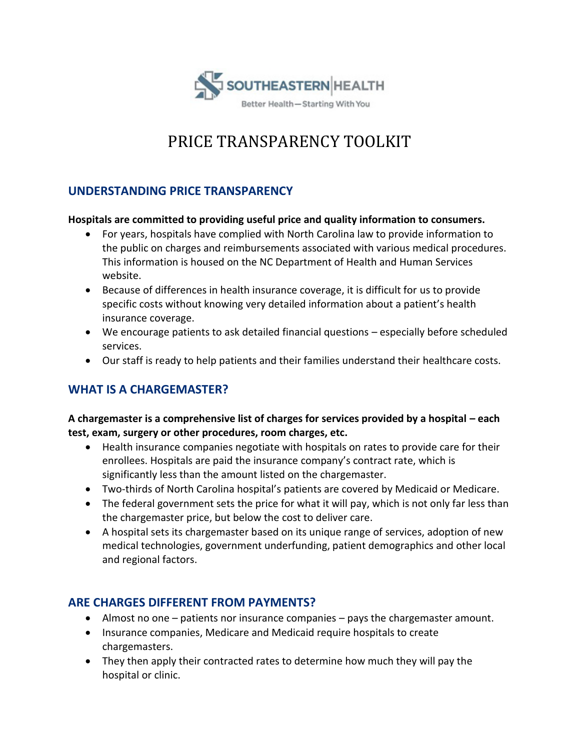

# PRICE TRANSPARENCY TOOLKIT

# **UNDERSTANDING PRICE TRANSPARENCY**

#### **Hospitals are committed to providing useful price and quality information to consumers.**

- For years, hospitals have complied with North Carolina law to provide information to the public on charges and reimbursements associated with various medical procedures. This information is housed on the NC Department of Health and Human Services website.
- Because of differences in health insurance coverage, it is difficult for us to provide specific costs without knowing very detailed information about a patient's health insurance coverage.
- We encourage patients to ask detailed financial questions especially before scheduled services.
- Our staff is ready to help patients and their families understand their healthcare costs.

# **WHAT IS A CHARGEMASTER?**

## **A chargemaster is a comprehensive list of charges for services provided by a hospital – each test, exam, surgery or other procedures, room charges, etc.**

- Health insurance companies negotiate with hospitals on rates to provide care for their enrollees. Hospitals are paid the insurance company's contract rate, which is significantly less than the amount listed on the chargemaster.
- Two-thirds of North Carolina hospital's patients are covered by Medicaid or Medicare.
- The federal government sets the price for what it will pay, which is not only far less than the chargemaster price, but below the cost to deliver care.
- A hospital sets its chargemaster based on its unique range of services, adoption of new medical technologies, government underfunding, patient demographics and other local and regional factors.

# **ARE CHARGES DIFFERENT FROM PAYMENTS?**

- Almost no one patients nor insurance companies pays the chargemaster amount.
- Insurance companies, Medicare and Medicaid require hospitals to create chargemasters.
- They then apply their contracted rates to determine how much they will pay the hospital or clinic.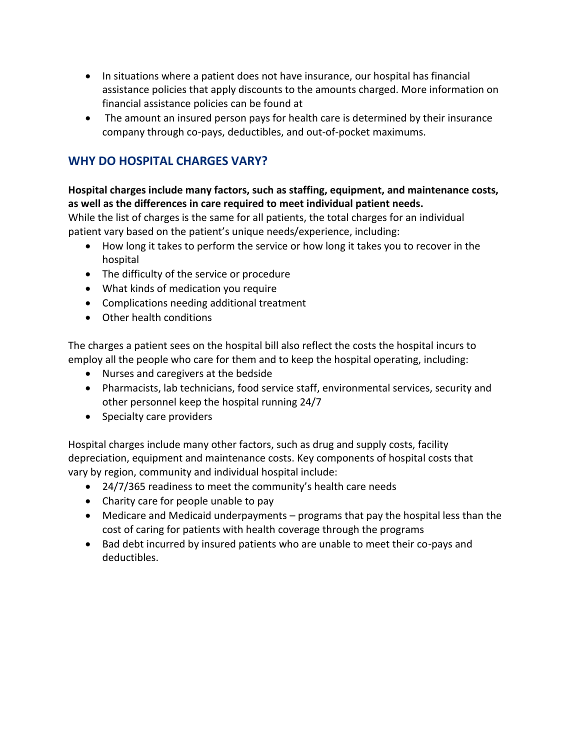- In situations where a patient does not have insurance, our hospital has financial assistance policies that apply discounts to the amounts charged. More information on financial assistance policies can be found at
- The amount an insured person pays for health care is determined by their insurance company through co-pays, deductibles, and out-of-pocket maximums.

# **WHY DO HOSPITAL CHARGES VARY?**

### **Hospital charges include many factors, such as staffing, equipment, and maintenance costs, as well as the differences in care required to meet individual patient needs.**

While the list of charges is the same for all patients, the total charges for an individual patient vary based on the patient's unique needs/experience, including:

- How long it takes to perform the service or how long it takes you to recover in the hospital
- The difficulty of the service or procedure
- What kinds of medication you require
- Complications needing additional treatment
- Other health conditions

The charges a patient sees on the hospital bill also reflect the costs the hospital incurs to employ all the people who care for them and to keep the hospital operating, including:

- Nurses and caregivers at the bedside
- Pharmacists, lab technicians, food service staff, environmental services, security and other personnel keep the hospital running 24/7
- Specialty care providers

Hospital charges include many other factors, such as drug and supply costs, facility depreciation, equipment and maintenance costs. Key components of hospital costs that vary by region, community and individual hospital include:

- 24/7/365 readiness to meet the community's health care needs
- Charity care for people unable to pay
- Medicare and Medicaid underpayments programs that pay the hospital less than the cost of caring for patients with health coverage through the programs
- Bad debt incurred by insured patients who are unable to meet their co-pays and deductibles.